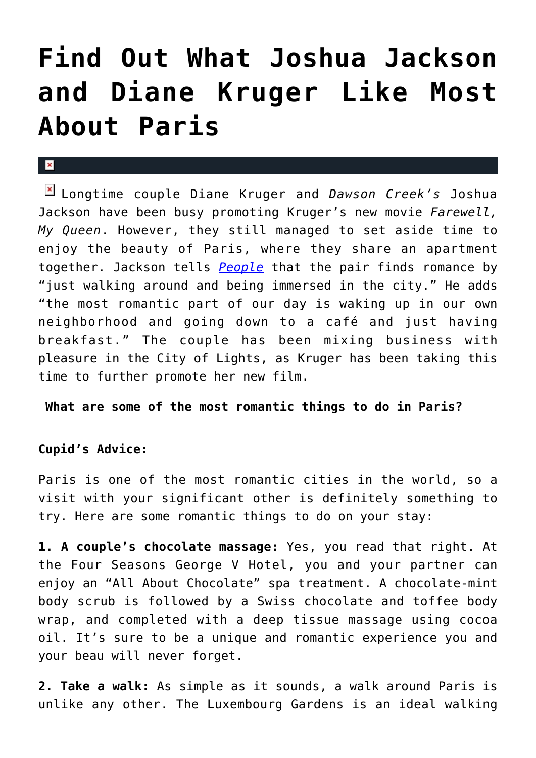## **[Find Out What Joshua Jackson](https://cupidspulse.com/34890/what-joshua-jackson-diane-kruger-like-about-paris-romance/) [and Diane Kruger Like Most](https://cupidspulse.com/34890/what-joshua-jackson-diane-kruger-like-about-paris-romance/) [About Paris](https://cupidspulse.com/34890/what-joshua-jackson-diane-kruger-like-about-paris-romance/)**

## $\mathbf{R}$

Longtime couple Diane Kruger and *Dawson Creek's* Joshua Jackson have been busy promoting Kruger's new movie *Farewell, My Queen*. However, they still managed to set aside time to enjoy the beauty of Paris, where they share an apartment together. Jackson tells *[People](http://www.people.com/people/article/0,,20610719,00.html)* that the pair finds romance by "just walking around and being immersed in the city." He adds "the most romantic part of our day is waking up in our own neighborhood and going down to a café and just having breakfast." The couple has been mixing business with pleasure in the City of Lights, as Kruger has been taking this time to further promote her new film.

 **What are some of the most romantic things to do in Paris?**

## **Cupid's Advice:**

Paris is one of the most romantic cities in the world, so a visit with your significant other is definitely something to try. Here are some romantic things to do on your stay:

**1. A couple's chocolate massage:** Yes, you read that right. At the Four Seasons George V Hotel, you and your partner can enjoy an "All About Chocolate" spa treatment. A chocolate-mint body scrub is followed by a Swiss chocolate and toffee body wrap, and completed with a deep tissue massage using cocoa oil. It's sure to be a unique and romantic experience you and your beau will never forget.

**2. Take a walk:** As simple as it sounds, a walk around Paris is unlike any other. The Luxembourg Gardens is an ideal walking